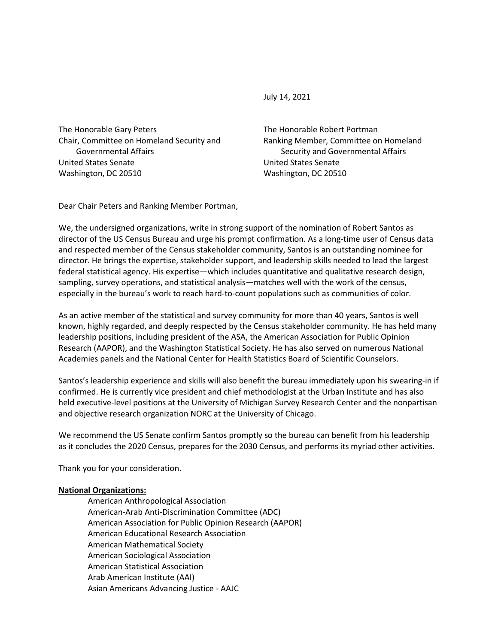July 14, 2021

The Honorable Gary Peters Chair, Committee on Homeland Security and Governmental Affairs United States Senate Washington, DC 20510

The Honorable Robert Portman Ranking Member, Committee on Homeland Security and Governmental Affairs United States Senate Washington, DC 20510

Dear Chair Peters and Ranking Member Portman,

We, the undersigned organizations, write in strong support of the nomination of Robert Santos as director of the US Census Bureau and urge his prompt confirmation. As a long-time user of Census data and respected member of the Census stakeholder community, Santos is an outstanding nominee for director. He brings the expertise, stakeholder support, and leadership skills needed to lead the largest federal statistical agency. His expertise—which includes quantitative and qualitative research design, sampling, survey operations, and statistical analysis—matches well with the work of the census, especially in the bureau's work to reach hard-to-count populations such as communities of color.

As an active member of the statistical and survey community for more than 40 years, Santos is well known, highly regarded, and deeply respected by the Census stakeholder community. He has held many leadership positions, including president of the ASA, the American Association for Public Opinion Research (AAPOR), and the Washington Statistical Society. He has also served on numerous National Academies panels and the National Center for Health Statistics Board of Scientific Counselors.

Santos's leadership experience and skills will also benefit the bureau immediately upon his swearing-in if confirmed. He is currently vice president and chief methodologist at the Urban Institute and has also held executive-level positions at the University of Michigan Survey Research Center and the nonpartisan and objective research organization NORC at the University of Chicago.

We recommend the US Senate confirm Santos promptly so the bureau can benefit from his leadership as it concludes the 2020 Census, prepares for the 2030 Census, and performs its myriad other activities.

Thank you for your consideration.

## **National Organizations:**

American Anthropological Association American-Arab Anti-Discrimination Committee (ADC) American Association for Public Opinion Research (AAPOR) American Educational Research Association American Mathematical Society American Sociological Association American Statistical Association Arab American Institute (AAI) Asian Americans Advancing Justice - AAJC